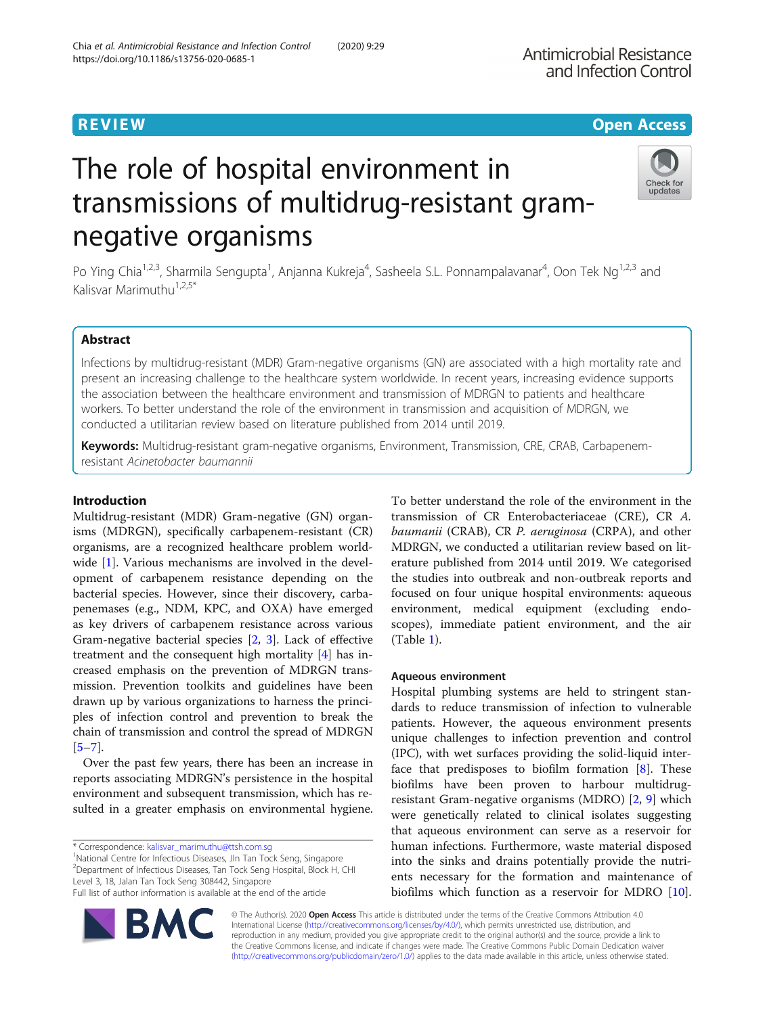## Chia et al. Antimicrobial Resistance and Infection Control (2020) 9:29 https://doi.org/10.1186/s13756-020-0685-1

## **REVIEW CONTROL** CONTROL CONTROL CONTROL CONTROL CONTROL CONTROL CONTROL CONTROL CONTROL CONTROL CONTROL CONTROL

# The role of hospital environment in transmissions of multidrug-resistant gramnegative organisms



Po Ying Chia<sup>1,2,3</sup>, Sharmila Sengupta<sup>1</sup>, Anjanna Kukreja<sup>4</sup>, Sasheela S.L. Ponnampalavanar<sup>4</sup>, Oon Tek Ng<sup>1,2,3</sup> and Kalisvar Marimuthu $1,2,5*$ 

## Abstract

Infections by multidrug-resistant (MDR) Gram-negative organisms (GN) are associated with a high mortality rate and present an increasing challenge to the healthcare system worldwide. In recent years, increasing evidence supports the association between the healthcare environment and transmission of MDRGN to patients and healthcare workers. To better understand the role of the environment in transmission and acquisition of MDRGN, we conducted a utilitarian review based on literature published from 2014 until 2019.

Keywords: Multidrug-resistant gram-negative organisms, Environment, Transmission, CRE, CRAB, Carbapenemresistant Acinetobacter baumannii

## Introduction

Multidrug-resistant (MDR) Gram-negative (GN) organisms (MDRGN), specifically carbapenem-resistant (CR) organisms, are a recognized healthcare problem worldwide [\[1](#page-8-0)]. Various mechanisms are involved in the development of carbapenem resistance depending on the bacterial species. However, since their discovery, carbapenemases (e.g., NDM, KPC, and OXA) have emerged as key drivers of carbapenem resistance across various Gram-negative bacterial species [\[2,](#page-8-0) [3](#page-8-0)]. Lack of effective treatment and the consequent high mortality [\[4](#page-8-0)] has increased emphasis on the prevention of MDRGN transmission. Prevention toolkits and guidelines have been drawn up by various organizations to harness the principles of infection control and prevention to break the chain of transmission and control the spread of MDRGN  $[5-7]$  $[5-7]$  $[5-7]$  $[5-7]$ .

Over the past few years, there has been an increase in reports associating MDRGN's persistence in the hospital environment and subsequent transmission, which has resulted in a greater emphasis on environmental hygiene.

\* Correspondence: [kalisvar\\_marimuthu@ttsh.com.sg](mailto:kalisvar_marimuthu@ttsh.com.sg) <sup>1</sup>

<sup>1</sup>National Centre for Infectious Diseases, Jln Tan Tock Seng, Singapore 2 Department of Infectious Diseases, Tan Tock Seng Hospital, Block H, CHI Level 3, 18, Jalan Tan Tock Seng 308442, Singapore Full list of author information is available at the end of the article

To better understand the role of the environment in the transmission of CR Enterobacteriaceae (CRE), CR A. baumanii (CRAB), CR P. aeruginosa (CRPA), and other MDRGN, we conducted a utilitarian review based on literature published from 2014 until 2019. We categorised the studies into outbreak and non-outbreak reports and focused on four unique hospital environments: aqueous environment, medical equipment (excluding endoscopes), immediate patient environment, and the air (Table [1\)](#page-1-0).

## Aqueous environment

Hospital plumbing systems are held to stringent standards to reduce transmission of infection to vulnerable patients. However, the aqueous environment presents unique challenges to infection prevention and control (IPC), with wet surfaces providing the solid-liquid interface that predisposes to biofilm formation  $[8]$  $[8]$ . These biofilms have been proven to harbour multidrugresistant Gram-negative organisms (MDRO) [[2,](#page-8-0) [9\]](#page-8-0) which were genetically related to clinical isolates suggesting that aqueous environment can serve as a reservoir for human infections. Furthermore, waste material disposed into the sinks and drains potentially provide the nutrients necessary for the formation and maintenance of biofilms which function as a reservoir for MDRO [\[10](#page-8-0)].



© The Author(s). 2020 Open Access This article is distributed under the terms of the Creative Commons Attribution 4.0 International License [\(http://creativecommons.org/licenses/by/4.0/](http://creativecommons.org/licenses/by/4.0/)), which permits unrestricted use, distribution, and reproduction in any medium, provided you give appropriate credit to the original author(s) and the source, provide a link to the Creative Commons license, and indicate if changes were made. The Creative Commons Public Domain Dedication waiver [\(http://creativecommons.org/publicdomain/zero/1.0/](http://creativecommons.org/publicdomain/zero/1.0/)) applies to the data made available in this article, unless otherwise stated.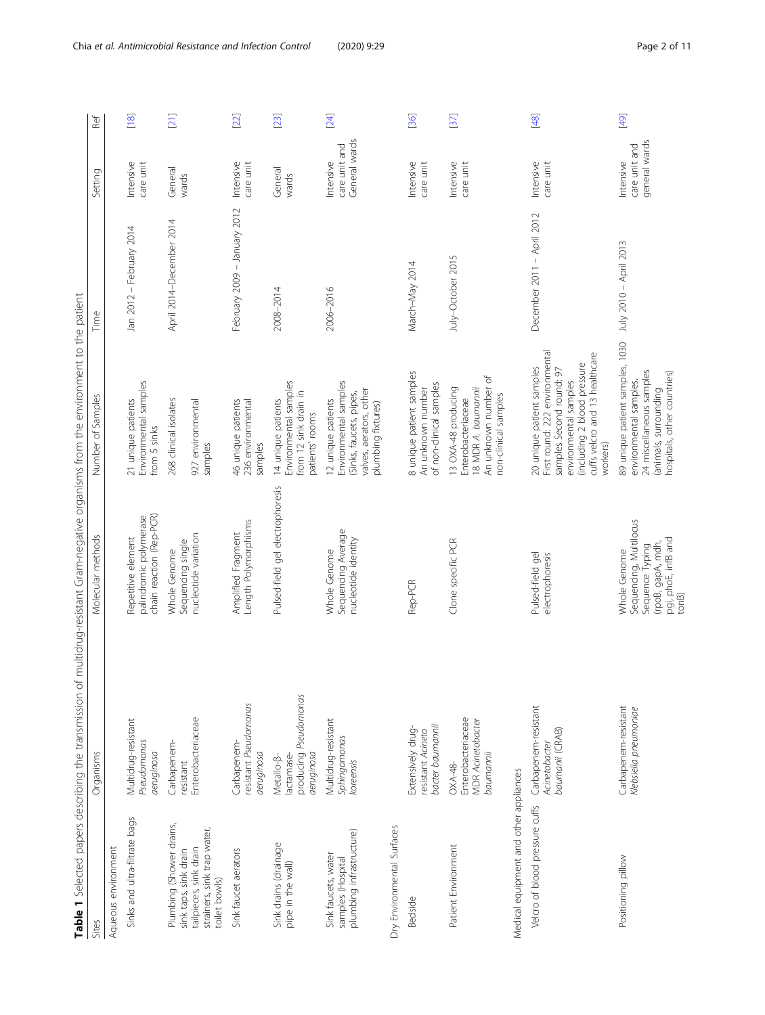| ĭ<br>I                                    |
|-------------------------------------------|
| Ī<br>j                                    |
| ś                                         |
| I                                         |
| í                                         |
| ¢                                         |
|                                           |
|                                           |
|                                           |
|                                           |
| $\bar{\mathbb{\text{o}}}$                 |
| i                                         |
| į                                         |
| Ċ                                         |
| ٦r                                        |
| j                                         |
| ć                                         |
| i                                         |
| $\frac{1}{2}$                             |
| Ş                                         |
| ١                                         |
| $\frac{1}{2}$<br>$\overline{\phantom{a}}$ |
| í                                         |
| į                                         |
|                                           |
| $\stackrel{.}{=}$                         |
| ć<br>ţ                                    |
| į<br>١                                    |
| å                                         |
| ۱                                         |
| $\ddot{\phantom{0}}$                      |
| 5                                         |
| .<br>؟<br>١<br>Ì                          |
| ī<br>j                                    |
| ċ                                         |
| Š                                         |
| ï<br>١                                    |
| 5                                         |
|                                           |
| j                                         |
| i<br>j                                    |
| ١                                         |
| i<br>i<br>rac.<br>j                       |
|                                           |
| i<br>Ì<br>5                               |
| í                                         |
| ₹<br>l                                    |
| i                                         |
| Ë<br>١                                    |
| Ş                                         |
|                                           |
| Í                                         |
|                                           |
| Ó                                         |
| i                                         |
|                                           |
|                                           |
| s c so<br>j                               |
| i<br>j<br>ĭ                               |
|                                           |
| ï                                         |
|                                           |
| ì                                         |
| Ì<br>ļ                                    |
| ţ                                         |
|                                           |
| こくへい                                      |
|                                           |
| ₹                                         |
| í                                         |
| ì<br>d<br>Ì                               |
| j<br>I                                    |
| ī<br>5                                    |
| ţ<br>ž                                    |
| Ś<br>ī<br>ĭ                               |
| Ì<br>j                                    |
| ï<br>i<br>j                               |
| ā<br>j                                    |
| t<br>١                                    |
|                                           |
| d                                         |
|                                           |
|                                           |
|                                           |
| able<br>a                                 |

<span id="page-1-0"></span>

|                                                                        | Table 1 Selected papers describing the transmission of multidrug-resistant Gram-negative organisms from the environment to the patient |                                                                                                                |                                                                                                                                                                                               |                              |                                             |        |
|------------------------------------------------------------------------|----------------------------------------------------------------------------------------------------------------------------------------|----------------------------------------------------------------------------------------------------------------|-----------------------------------------------------------------------------------------------------------------------------------------------------------------------------------------------|------------------------------|---------------------------------------------|--------|
|                                                                        | Organisms                                                                                                                              | Molecular methods                                                                                              | Number of Samples                                                                                                                                                                             | Time                         | Setting                                     | Ref    |
| Aqueous environment                                                    |                                                                                                                                        |                                                                                                                |                                                                                                                                                                                               |                              |                                             |        |
| Sinks and ultra-filtrate bags                                          | Multidrug-resistant<br>Pseudomonas<br>aeruginosa                                                                                       | chain reaction (Rep-PCR)<br>palindromic polymerase<br>Repetitive element                                       | Environmental samples<br>21 unique patients<br>from 5 sinks                                                                                                                                   | Jan 2012 - February 2014     | Intensive<br>care unit                      | $[18]$ |
| Plumbing (Shower drains,<br>sink taps, sink drain                      | Carbapenem-<br>resistant                                                                                                               | Sequencing single<br>Whole Genome                                                                              | 268 clinical isolates                                                                                                                                                                         | April 2014-December 2014     | General<br>wards                            | [21]   |
| strainers, sink trap water,<br>tailpieces, sink drain<br>toilet bowls) | Enterobacteriaceae                                                                                                                     | nucleotide variation                                                                                           | 927 environmental<br>samples                                                                                                                                                                  |                              |                                             |        |
| Sink faucet aerators                                                   | resistant Pseudomonas<br>Carbapenem-<br>aeruginosa                                                                                     | Length Polymorphisms<br>Amplified Fragment                                                                     | 46 unique patients<br>236 environmental<br>samples                                                                                                                                            | February 2009 - January 2012 | Intensive<br>care unit                      | [22]   |
| Sink drains (drainage<br>pipe in the wall)                             | producing Pseudomonas<br>aeruginosa<br>actamase-<br>Metallo- <sub>B</sub> -                                                            | Pulsed-field gel electrophoresis                                                                               | Environmental samples<br>from 12 sink drain in<br>14 unique patients<br>patients' rooms                                                                                                       | 2008-2014                    | General<br>wards                            | $[23]$ |
| plumbing infrastructure)<br>Sink faucets, water<br>samples (Hospital   | Multidrug-resistant<br>Sphingomonas<br>koreensis                                                                                       | Sequencing Average<br>nucleotide identity<br>Whole Genome                                                      | Environmental samples<br>valves, aerators, other<br>(Sinks, faucets, pipes,<br>12 unique patients<br>plumbing fixtures)                                                                       | 2006-2016                    | General wards<br>care unit and<br>Intensive | $[24]$ |
| Dry Environmental Surfaces                                             |                                                                                                                                        |                                                                                                                |                                                                                                                                                                                               |                              |                                             |        |
| Bedside                                                                | bacter baumannii<br>Extensively drug-<br>resistant Acineto                                                                             | Rep-PCR                                                                                                        | 8 unique patient samples<br>of non-clinical samples<br>An unknown number                                                                                                                      | March-May 2014               | Intensive<br>care unit                      | [36]   |
| Patient Environment                                                    | Enterobacteriaceae<br><b>MDR Acinetobacter</b><br>baumannii<br>$OXA-48-$                                                               | Clone specific PCR                                                                                             | An unknown number of<br>18 MDR A. baumannii<br>13 OXA-48 producing<br>non-clinical samples<br>Enterobacteriaceae                                                                              | July-October 2015            | Intensive<br>care unit                      | [37]   |
| Medical equipment and other appliances                                 |                                                                                                                                        |                                                                                                                |                                                                                                                                                                                               |                              |                                             |        |
| Velcro of blood pressure cuffs                                         | Carbapenem-resistant<br>baumanii (CRAB)<br>Acinetobacter                                                                               | electrophoresis<br>Pulsed-field gel                                                                            | First round: 222 environmental<br>cuffs velcro and 13 healthcare<br>(including 2 blood pressure<br>20 unique patient samples<br>samples Second round: 97<br>environmental samples<br>workers) | December 2011 - April 2012   | Intensive<br>care unit                      | [48]   |
| Positioning pillow                                                     | Carbapenem-resistant<br>Klebsiella pneumoniae                                                                                          | Sequencing, Multilocus<br>pgi, phoE, infB and<br>(rpoB, gapA, mdh,<br>Sequence Typing<br>Whole Genome<br>tonB) | 89 unique patient samples, 1030<br>24 miscellaneous samples<br>hospitals, other countries)<br>environmental samples,<br>(animals, surrounding                                                 | July 2010 - April 2013       | general wards<br>care unit and<br>Intensive | [49]   |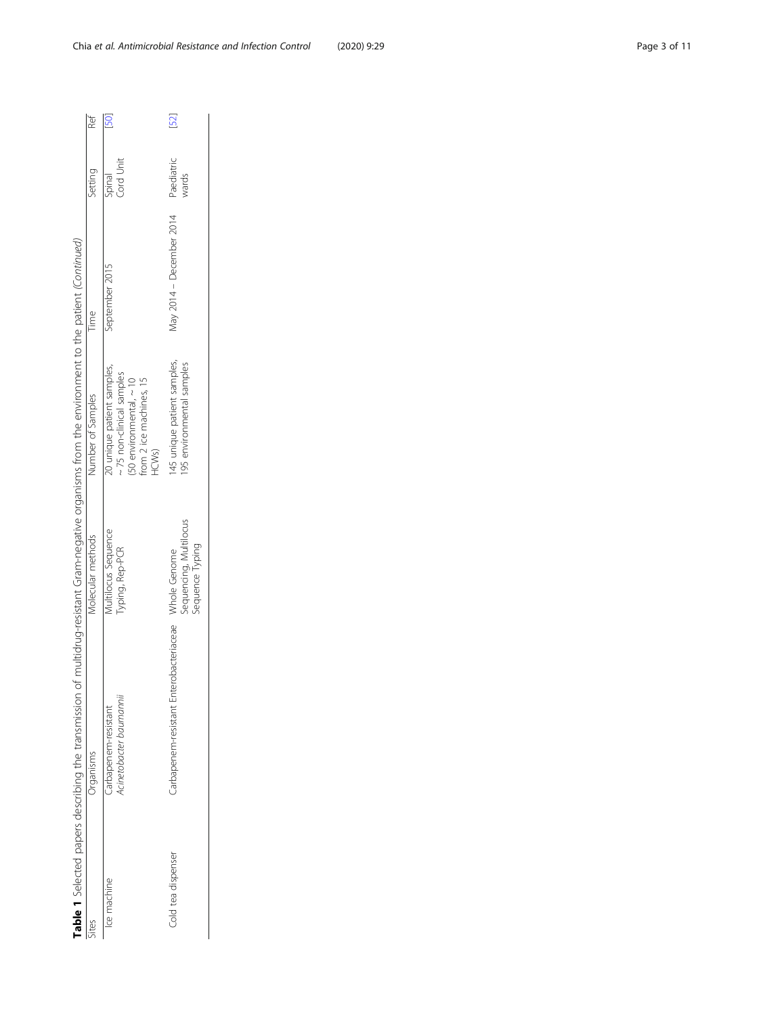|                                                                                                                                                    | Ref               |                                                                                                                                    | [52]                                                     |
|----------------------------------------------------------------------------------------------------------------------------------------------------|-------------------|------------------------------------------------------------------------------------------------------------------------------------|----------------------------------------------------------|
|                                                                                                                                                    | Setting           | <b>Cord Unit</b><br>Spinal                                                                                                         | Paediatric<br>wards                                      |
| Table 1 Selected papers describing the transmission of multidrug-resistant Gram-negative organisms from the environment to the patient (Continued) | Time              | September 2015                                                                                                                     | May 2014 - December 2014                                 |
|                                                                                                                                                    | Number of Samples | 20 unique patient samples,<br>~75 non-clinical samples<br>from 2 ice machines, 15<br>(50 environmental, ~ 10<br>HCW <sub>S</sub> ) | 145 unique patient samples,<br>195 environmental samples |
|                                                                                                                                                    | Molecular methods | Multilocus Sequence<br>Typing, Rep-PCR                                                                                             | Sequencing, Multilocus<br>Sequence Typing                |
|                                                                                                                                                    | Organisms         | Acinetobacter baumannii<br>Carbapenem-resistant                                                                                    | Carbapenem-resistant Enterobacteriaceae Whole Genome     |
|                                                                                                                                                    | Sites             | Ice machine                                                                                                                        | Cold tea dispenser                                       |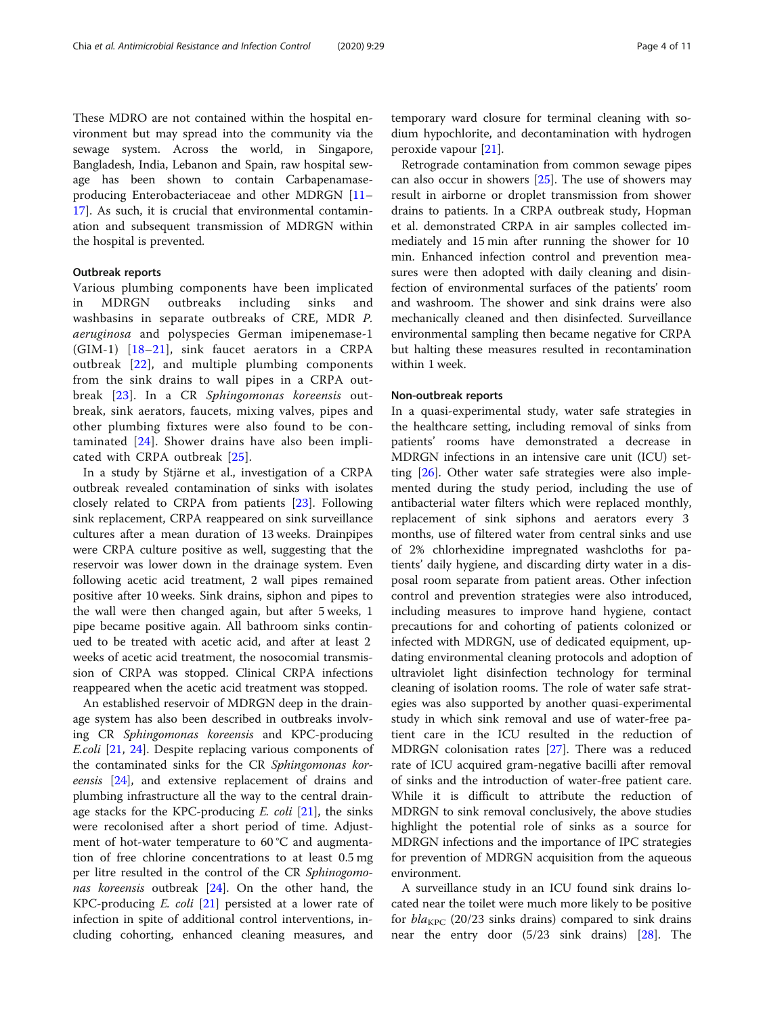These MDRO are not contained within the hospital environment but may spread into the community via the sewage system. Across the world, in Singapore, Bangladesh, India, Lebanon and Spain, raw hospital sewage has been shown to contain Carbapenamaseproducing Enterobacteriaceae and other MDRGN [[11](#page-8-0)– [17\]](#page-9-0). As such, it is crucial that environmental contamination and subsequent transmission of MDRGN within the hospital is prevented.

## Outbreak reports

Various plumbing components have been implicated in MDRGN outbreaks including sinks and washbasins in separate outbreaks of CRE, MDR P. aeruginosa and polyspecies German imipenemase-1 (GIM-1) [[18](#page-9-0)–[21](#page-9-0)], sink faucet aerators in a CRPA outbreak [\[22\]](#page-9-0), and multiple plumbing components from the sink drains to wall pipes in a CRPA outbreak [\[23\]](#page-9-0). In a CR Sphingomonas koreensis outbreak, sink aerators, faucets, mixing valves, pipes and other plumbing fixtures were also found to be contaminated [\[24\]](#page-9-0). Shower drains have also been implicated with CRPA outbreak [\[25\]](#page-9-0).

In a study by Stjärne et al., investigation of a CRPA outbreak revealed contamination of sinks with isolates closely related to CRPA from patients [\[23](#page-9-0)]. Following sink replacement, CRPA reappeared on sink surveillance cultures after a mean duration of 13 weeks. Drainpipes were CRPA culture positive as well, suggesting that the reservoir was lower down in the drainage system. Even following acetic acid treatment, 2 wall pipes remained positive after 10 weeks. Sink drains, siphon and pipes to the wall were then changed again, but after 5 weeks, 1 pipe became positive again. All bathroom sinks continued to be treated with acetic acid, and after at least 2 weeks of acetic acid treatment, the nosocomial transmission of CRPA was stopped. Clinical CRPA infections reappeared when the acetic acid treatment was stopped.

An established reservoir of MDRGN deep in the drainage system has also been described in outbreaks involving CR Sphingomonas koreensis and KPC-producing E.coli [\[21](#page-9-0), [24\]](#page-9-0). Despite replacing various components of the contaminated sinks for the CR Sphingomonas koreensis [[24\]](#page-9-0), and extensive replacement of drains and plumbing infrastructure all the way to the central drainage stacks for the KPC-producing  $E.$  coli  $[21]$  $[21]$ , the sinks were recolonised after a short period of time. Adjustment of hot-water temperature to 60 °C and augmentation of free chlorine concentrations to at least 0.5 mg per litre resulted in the control of the CR Sphinogomonas koreensis outbreak  $[24]$  $[24]$ . On the other hand, the KPC-producing E. coli [\[21\]](#page-9-0) persisted at a lower rate of infection in spite of additional control interventions, including cohorting, enhanced cleaning measures, and temporary ward closure for terminal cleaning with sodium hypochlorite, and decontamination with hydrogen peroxide vapour [\[21](#page-9-0)].

Retrograde contamination from common sewage pipes can also occur in showers [[25\]](#page-9-0). The use of showers may result in airborne or droplet transmission from shower drains to patients. In a CRPA outbreak study, Hopman et al. demonstrated CRPA in air samples collected immediately and 15 min after running the shower for 10 min. Enhanced infection control and prevention measures were then adopted with daily cleaning and disinfection of environmental surfaces of the patients' room and washroom. The shower and sink drains were also mechanically cleaned and then disinfected. Surveillance environmental sampling then became negative for CRPA but halting these measures resulted in recontamination within 1 week.

## Non-outbreak reports

In a quasi-experimental study, water safe strategies in the healthcare setting, including removal of sinks from patients' rooms have demonstrated a decrease in MDRGN infections in an intensive care unit (ICU) setting [\[26](#page-9-0)]. Other water safe strategies were also implemented during the study period, including the use of antibacterial water filters which were replaced monthly, replacement of sink siphons and aerators every 3 months, use of filtered water from central sinks and use of 2% chlorhexidine impregnated washcloths for patients' daily hygiene, and discarding dirty water in a disposal room separate from patient areas. Other infection control and prevention strategies were also introduced, including measures to improve hand hygiene, contact precautions for and cohorting of patients colonized or infected with MDRGN, use of dedicated equipment, updating environmental cleaning protocols and adoption of ultraviolet light disinfection technology for terminal cleaning of isolation rooms. The role of water safe strategies was also supported by another quasi-experimental study in which sink removal and use of water-free patient care in the ICU resulted in the reduction of MDRGN colonisation rates [\[27\]](#page-9-0). There was a reduced rate of ICU acquired gram-negative bacilli after removal of sinks and the introduction of water-free patient care. While it is difficult to attribute the reduction of MDRGN to sink removal conclusively, the above studies highlight the potential role of sinks as a source for MDRGN infections and the importance of IPC strategies for prevention of MDRGN acquisition from the aqueous environment.

A surveillance study in an ICU found sink drains located near the toilet were much more likely to be positive for  $bla_{KPC}$  (20/23 sinks drains) compared to sink drains near the entry door (5/23 sink drains) [\[28](#page-9-0)]. The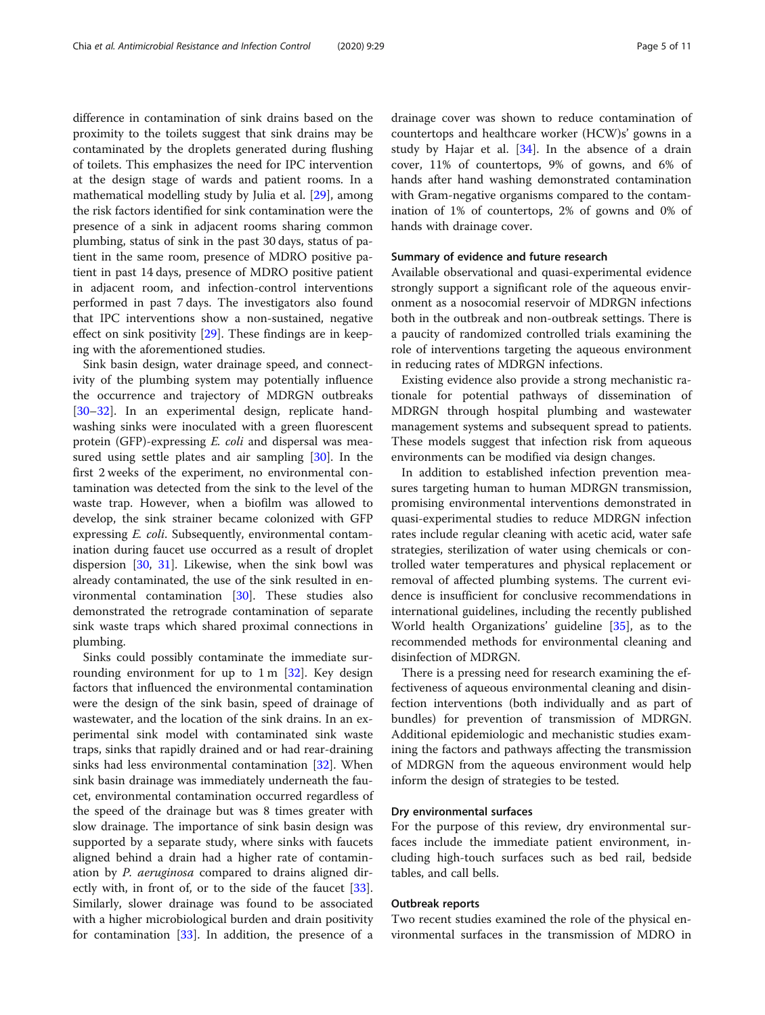difference in contamination of sink drains based on the proximity to the toilets suggest that sink drains may be contaminated by the droplets generated during flushing of toilets. This emphasizes the need for IPC intervention at the design stage of wards and patient rooms. In a mathematical modelling study by Julia et al. [\[29](#page-9-0)], among the risk factors identified for sink contamination were the presence of a sink in adjacent rooms sharing common plumbing, status of sink in the past 30 days, status of patient in the same room, presence of MDRO positive patient in past 14 days, presence of MDRO positive patient in adjacent room, and infection-control interventions performed in past 7 days. The investigators also found that IPC interventions show a non-sustained, negative effect on sink positivity [\[29\]](#page-9-0). These findings are in keeping with the aforementioned studies.

Sink basin design, water drainage speed, and connectivity of the plumbing system may potentially influence the occurrence and trajectory of MDRGN outbreaks [[30](#page-9-0)–[32](#page-9-0)]. In an experimental design, replicate handwashing sinks were inoculated with a green fluorescent protein (GFP)-expressing E. coli and dispersal was measured using settle plates and air sampling [\[30](#page-9-0)]. In the first 2 weeks of the experiment, no environmental contamination was detected from the sink to the level of the waste trap. However, when a biofilm was allowed to develop, the sink strainer became colonized with GFP expressing E. coli. Subsequently, environmental contamination during faucet use occurred as a result of droplet dispersion [\[30](#page-9-0), [31](#page-9-0)]. Likewise, when the sink bowl was already contaminated, the use of the sink resulted in environmental contamination [[30\]](#page-9-0). These studies also demonstrated the retrograde contamination of separate sink waste traps which shared proximal connections in plumbing.

Sinks could possibly contaminate the immediate surrounding environment for up to  $1 \text{ m}$  [\[32](#page-9-0)]. Key design factors that influenced the environmental contamination were the design of the sink basin, speed of drainage of wastewater, and the location of the sink drains. In an experimental sink model with contaminated sink waste traps, sinks that rapidly drained and or had rear-draining sinks had less environmental contamination [[32](#page-9-0)]. When sink basin drainage was immediately underneath the faucet, environmental contamination occurred regardless of the speed of the drainage but was 8 times greater with slow drainage. The importance of sink basin design was supported by a separate study, where sinks with faucets aligned behind a drain had a higher rate of contamination by P. aeruginosa compared to drains aligned directly with, in front of, or to the side of the faucet [\[33](#page-9-0)]. Similarly, slower drainage was found to be associated with a higher microbiological burden and drain positivity for contamination [[33](#page-9-0)]. In addition, the presence of a drainage cover was shown to reduce contamination of countertops and healthcare worker (HCW)s' gowns in a study by Hajar et al. [[34\]](#page-9-0). In the absence of a drain cover, 11% of countertops, 9% of gowns, and 6% of hands after hand washing demonstrated contamination with Gram-negative organisms compared to the contamination of 1% of countertops, 2% of gowns and 0% of hands with drainage cover.

## Summary of evidence and future research

Available observational and quasi-experimental evidence strongly support a significant role of the aqueous environment as a nosocomial reservoir of MDRGN infections both in the outbreak and non-outbreak settings. There is a paucity of randomized controlled trials examining the role of interventions targeting the aqueous environment in reducing rates of MDRGN infections.

Existing evidence also provide a strong mechanistic rationale for potential pathways of dissemination of MDRGN through hospital plumbing and wastewater management systems and subsequent spread to patients. These models suggest that infection risk from aqueous environments can be modified via design changes.

In addition to established infection prevention measures targeting human to human MDRGN transmission, promising environmental interventions demonstrated in quasi-experimental studies to reduce MDRGN infection rates include regular cleaning with acetic acid, water safe strategies, sterilization of water using chemicals or controlled water temperatures and physical replacement or removal of affected plumbing systems. The current evidence is insufficient for conclusive recommendations in international guidelines, including the recently published World health Organizations' guideline [[35\]](#page-9-0), as to the recommended methods for environmental cleaning and disinfection of MDRGN.

There is a pressing need for research examining the effectiveness of aqueous environmental cleaning and disinfection interventions (both individually and as part of bundles) for prevention of transmission of MDRGN. Additional epidemiologic and mechanistic studies examining the factors and pathways affecting the transmission of MDRGN from the aqueous environment would help inform the design of strategies to be tested.

## Dry environmental surfaces

For the purpose of this review, dry environmental surfaces include the immediate patient environment, including high-touch surfaces such as bed rail, bedside tables, and call bells.

#### Outbreak reports

Two recent studies examined the role of the physical environmental surfaces in the transmission of MDRO in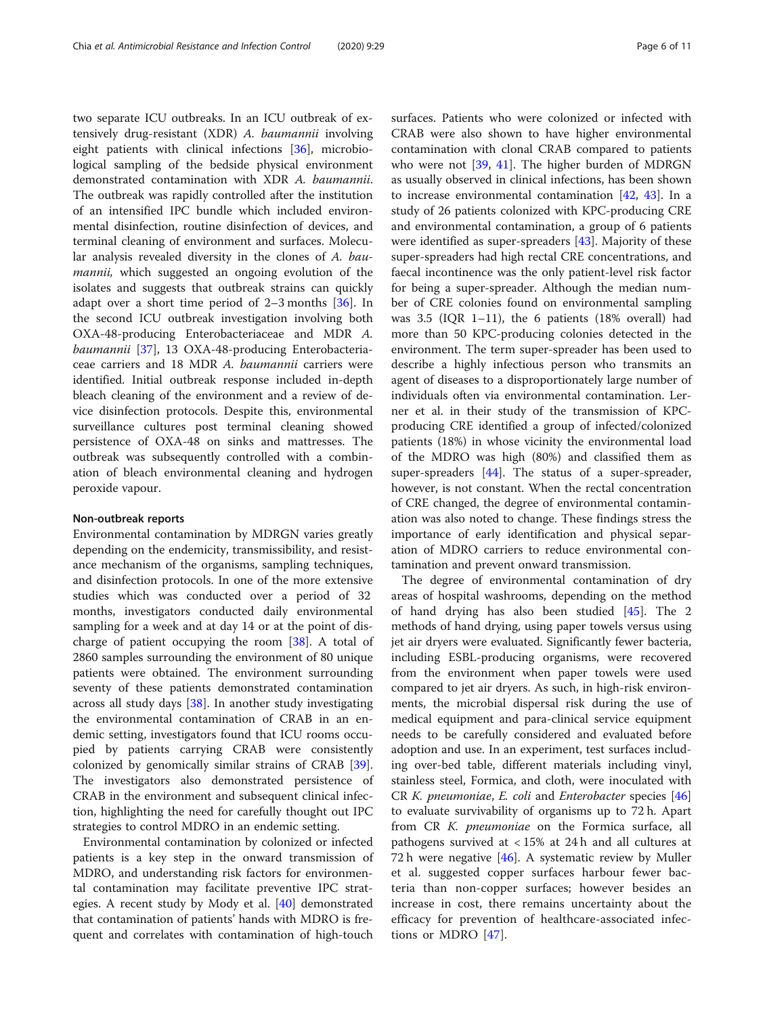two separate ICU outbreaks. In an ICU outbreak of extensively drug-resistant (XDR) A. baumannii involving eight patients with clinical infections [\[36\]](#page-9-0), microbiological sampling of the bedside physical environment demonstrated contamination with XDR A. baumannii. The outbreak was rapidly controlled after the institution of an intensified IPC bundle which included environmental disinfection, routine disinfection of devices, and terminal cleaning of environment and surfaces. Molecular analysis revealed diversity in the clones of A. bau*mannii*, which suggested an ongoing evolution of the isolates and suggests that outbreak strains can quickly adapt over a short time period of  $2-3$  months  $[36]$  $[36]$ . In the second ICU outbreak investigation involving both OXA-48-producing Enterobacteriaceae and MDR A. baumannii [\[37](#page-9-0)], 13 OXA-48-producing Enterobacteriaceae carriers and 18 MDR A. baumannii carriers were identified. Initial outbreak response included in-depth bleach cleaning of the environment and a review of device disinfection protocols. Despite this, environmental surveillance cultures post terminal cleaning showed persistence of OXA-48 on sinks and mattresses. The outbreak was subsequently controlled with a combination of bleach environmental cleaning and hydrogen peroxide vapour.

## Non-outbreak reports

Environmental contamination by MDRGN varies greatly depending on the endemicity, transmissibility, and resistance mechanism of the organisms, sampling techniques, and disinfection protocols. In one of the more extensive studies which was conducted over a period of 32 months, investigators conducted daily environmental sampling for a week and at day 14 or at the point of discharge of patient occupying the room [[38\]](#page-9-0). A total of 2860 samples surrounding the environment of 80 unique patients were obtained. The environment surrounding seventy of these patients demonstrated contamination across all study days [\[38\]](#page-9-0). In another study investigating the environmental contamination of CRAB in an endemic setting, investigators found that ICU rooms occupied by patients carrying CRAB were consistently colonized by genomically similar strains of CRAB [\[39](#page-9-0)]. The investigators also demonstrated persistence of CRAB in the environment and subsequent clinical infection, highlighting the need for carefully thought out IPC strategies to control MDRO in an endemic setting.

Environmental contamination by colonized or infected patients is a key step in the onward transmission of MDRO, and understanding risk factors for environmental contamination may facilitate preventive IPC strategies. A recent study by Mody et al. [\[40](#page-9-0)] demonstrated that contamination of patients' hands with MDRO is frequent and correlates with contamination of high-touch

surfaces. Patients who were colonized or infected with CRAB were also shown to have higher environmental contamination with clonal CRAB compared to patients who were not  $[39, 41]$  $[39, 41]$  $[39, 41]$  $[39, 41]$ . The higher burden of MDRGN as usually observed in clinical infections, has been shown to increase environmental contamination [\[42](#page-9-0), [43](#page-9-0)]. In a study of 26 patients colonized with KPC-producing CRE and environmental contamination, a group of 6 patients were identified as super-spreaders [\[43](#page-9-0)]. Majority of these super-spreaders had high rectal CRE concentrations, and faecal incontinence was the only patient-level risk factor for being a super-spreader. Although the median number of CRE colonies found on environmental sampling was  $3.5$  (IQR 1-11), the 6 patients (18% overall) had more than 50 KPC-producing colonies detected in the environment. The term super-spreader has been used to describe a highly infectious person who transmits an agent of diseases to a disproportionately large number of individuals often via environmental contamination. Lerner et al. in their study of the transmission of KPCproducing CRE identified a group of infected/colonized patients (18%) in whose vicinity the environmental load of the MDRO was high (80%) and classified them as super-spreaders [\[44](#page-9-0)]. The status of a super-spreader, however, is not constant. When the rectal concentration of CRE changed, the degree of environmental contamination was also noted to change. These findings stress the importance of early identification and physical separation of MDRO carriers to reduce environmental contamination and prevent onward transmission.

The degree of environmental contamination of dry areas of hospital washrooms, depending on the method of hand drying has also been studied [[45](#page-9-0)]. The 2 methods of hand drying, using paper towels versus using jet air dryers were evaluated. Significantly fewer bacteria, including ESBL-producing organisms, were recovered from the environment when paper towels were used compared to jet air dryers. As such, in high-risk environments, the microbial dispersal risk during the use of medical equipment and para-clinical service equipment needs to be carefully considered and evaluated before adoption and use. In an experiment, test surfaces including over-bed table, different materials including vinyl, stainless steel, Formica, and cloth, were inoculated with CR K. pneumoniae, E. coli and Enterobacter species [[46](#page-9-0)] to evaluate survivability of organisms up to 72 h. Apart from CR K. pneumoniae on the Formica surface, all pathogens survived at < 15% at 24 h and all cultures at 72 h were negative  $[46]$  $[46]$ . A systematic review by Muller et al. suggested copper surfaces harbour fewer bacteria than non-copper surfaces; however besides an increase in cost, there remains uncertainty about the efficacy for prevention of healthcare-associated infections or MDRO [[47\]](#page-9-0).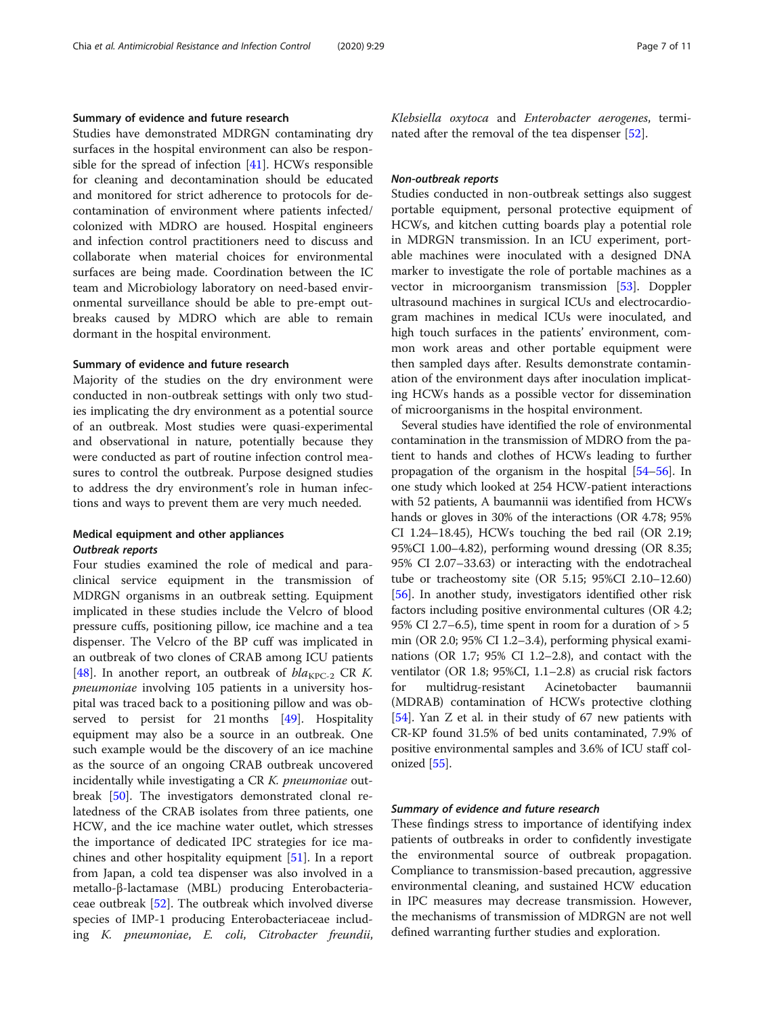## Summary of evidence and future research

Studies have demonstrated MDRGN contaminating dry surfaces in the hospital environment can also be responsible for the spread of infection  $[41]$  $[41]$ . HCWs responsible for cleaning and decontamination should be educated and monitored for strict adherence to protocols for decontamination of environment where patients infected/ colonized with MDRO are housed. Hospital engineers and infection control practitioners need to discuss and collaborate when material choices for environmental surfaces are being made. Coordination between the IC team and Microbiology laboratory on need-based environmental surveillance should be able to pre-empt outbreaks caused by MDRO which are able to remain dormant in the hospital environment.

#### Summary of evidence and future research

Majority of the studies on the dry environment were conducted in non-outbreak settings with only two studies implicating the dry environment as a potential source of an outbreak. Most studies were quasi-experimental and observational in nature, potentially because they were conducted as part of routine infection control measures to control the outbreak. Purpose designed studies to address the dry environment's role in human infections and ways to prevent them are very much needed.

## Medical equipment and other appliances Outbreak reports

Four studies examined the role of medical and paraclinical service equipment in the transmission of MDRGN organisms in an outbreak setting. Equipment implicated in these studies include the Velcro of blood pressure cuffs, positioning pillow, ice machine and a tea dispenser. The Velcro of the BP cuff was implicated in an outbreak of two clones of CRAB among ICU patients [[48\]](#page-9-0). In another report, an outbreak of  $bla_{KPC-2}$  CR K. pneumoniae involving 105 patients in a university hospital was traced back to a positioning pillow and was observed to persist for 21 months [[49](#page-9-0)]. Hospitality equipment may also be a source in an outbreak. One such example would be the discovery of an ice machine as the source of an ongoing CRAB outbreak uncovered incidentally while investigating a CR K. pneumoniae outbreak [[50\]](#page-9-0). The investigators demonstrated clonal relatedness of the CRAB isolates from three patients, one HCW, and the ice machine water outlet, which stresses the importance of dedicated IPC strategies for ice machines and other hospitality equipment [\[51](#page-10-0)]. In a report from Japan, a cold tea dispenser was also involved in a metallo-β-lactamase (MBL) producing Enterobacteriaceae outbreak [[52\]](#page-10-0). The outbreak which involved diverse species of IMP-1 producing Enterobacteriaceae including K. pneumoniae, E. coli, Citrobacter freundii, Klebsiella oxytoca and Enterobacter aerogenes, terminated after the removal of the tea dispenser [\[52](#page-10-0)].

## Non-outbreak reports

Studies conducted in non-outbreak settings also suggest portable equipment, personal protective equipment of HCWs, and kitchen cutting boards play a potential role in MDRGN transmission. In an ICU experiment, portable machines were inoculated with a designed DNA marker to investigate the role of portable machines as a vector in microorganism transmission [\[53\]](#page-10-0). Doppler ultrasound machines in surgical ICUs and electrocardiogram machines in medical ICUs were inoculated, and high touch surfaces in the patients' environment, common work areas and other portable equipment were then sampled days after. Results demonstrate contamination of the environment days after inoculation implicating HCWs hands as a possible vector for dissemination of microorganisms in the hospital environment.

Several studies have identified the role of environmental contamination in the transmission of MDRO from the patient to hands and clothes of HCWs leading to further propagation of the organism in the hospital [\[54](#page-10-0)–[56](#page-10-0)]. In one study which looked at 254 HCW-patient interactions with 52 patients, A baumannii was identified from HCWs hands or gloves in 30% of the interactions (OR 4.78; 95% CI 1.24–18.45), HCWs touching the bed rail (OR 2.19; 95%CI 1.00–4.82), performing wound dressing (OR 8.35; 95% CI 2.07–33.63) or interacting with the endotracheal tube or tracheostomy site (OR 5.15; 95%CI 2.10–12.60) [[56](#page-10-0)]. In another study, investigators identified other risk factors including positive environmental cultures (OR 4.2; 95% CI 2.7–6.5), time spent in room for a duration of  $> 5$ min (OR 2.0; 95% CI 1.2–3.4), performing physical examinations (OR 1.7; 95% CI 1.2–2.8), and contact with the ventilator (OR 1.8; 95%CI, 1.1–2.8) as crucial risk factors for multidrug-resistant Acinetobacter baumannii (MDRAB) contamination of HCWs protective clothing [[54](#page-10-0)]. Yan Z et al. in their study of 67 new patients with CR-KP found 31.5% of bed units contaminated, 7.9% of positive environmental samples and 3.6% of ICU staff colonized [[55\]](#page-10-0).

## Summary of evidence and future research

These findings stress to importance of identifying index patients of outbreaks in order to confidently investigate the environmental source of outbreak propagation. Compliance to transmission-based precaution, aggressive environmental cleaning, and sustained HCW education in IPC measures may decrease transmission. However, the mechanisms of transmission of MDRGN are not well defined warranting further studies and exploration.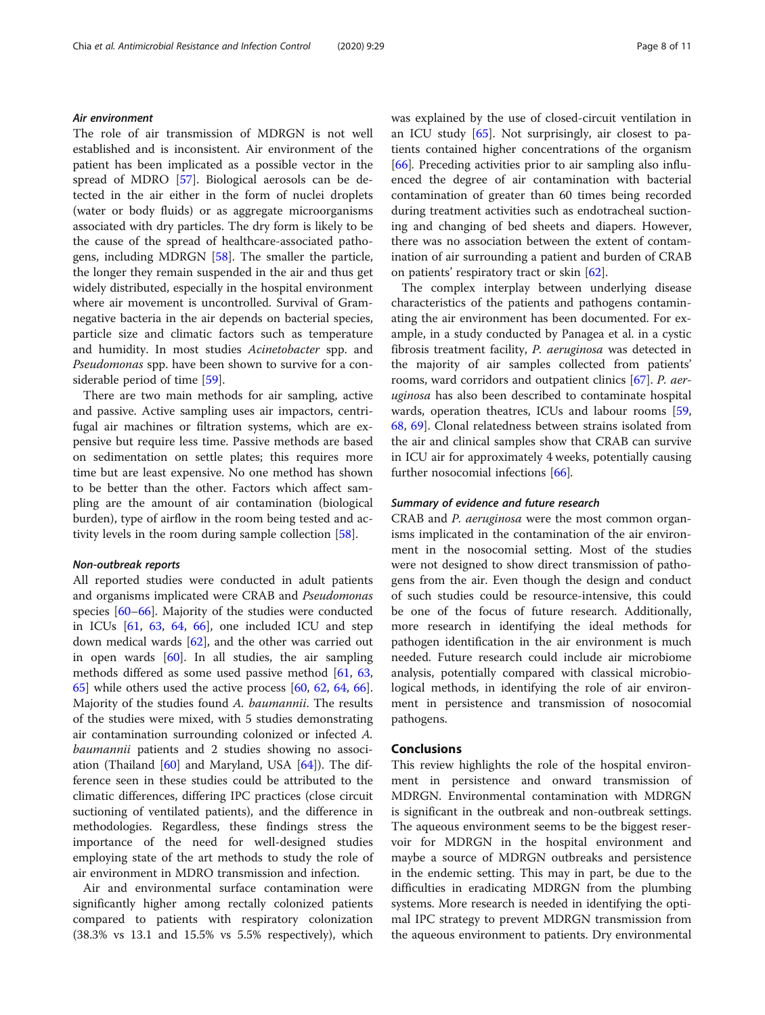## Air environment

The role of air transmission of MDRGN is not well established and is inconsistent. Air environment of the patient has been implicated as a possible vector in the spread of MDRO [\[57\]](#page-10-0). Biological aerosols can be detected in the air either in the form of nuclei droplets (water or body fluids) or as aggregate microorganisms associated with dry particles. The dry form is likely to be the cause of the spread of healthcare-associated pathogens, including MDRGN [[58\]](#page-10-0). The smaller the particle, the longer they remain suspended in the air and thus get widely distributed, especially in the hospital environment where air movement is uncontrolled. Survival of Gramnegative bacteria in the air depends on bacterial species, particle size and climatic factors such as temperature and humidity. In most studies Acinetobacter spp. and Pseudomonas spp. have been shown to survive for a considerable period of time [\[59](#page-10-0)].

There are two main methods for air sampling, active and passive. Active sampling uses air impactors, centrifugal air machines or filtration systems, which are expensive but require less time. Passive methods are based on sedimentation on settle plates; this requires more time but are least expensive. No one method has shown to be better than the other. Factors which affect sampling are the amount of air contamination (biological burden), type of airflow in the room being tested and activity levels in the room during sample collection [[58\]](#page-10-0).

## Non-outbreak reports

All reported studies were conducted in adult patients and organisms implicated were CRAB and Pseudomonas species  $[60-66]$  $[60-66]$  $[60-66]$  $[60-66]$ . Majority of the studies were conducted in ICUs [\[61,](#page-10-0) [63](#page-10-0), [64](#page-10-0), [66](#page-10-0)], one included ICU and step down medical wards [\[62](#page-10-0)], and the other was carried out in open wards [\[60\]](#page-10-0). In all studies, the air sampling methods differed as some used passive method [[61](#page-10-0), [63](#page-10-0), [65\]](#page-10-0) while others used the active process [\[60](#page-10-0), [62](#page-10-0), [64,](#page-10-0) [66](#page-10-0)]. Majority of the studies found A. baumannii. The results of the studies were mixed, with 5 studies demonstrating air contamination surrounding colonized or infected A. baumannii patients and 2 studies showing no association (Thailand [[60](#page-10-0)] and Maryland, USA [\[64](#page-10-0)]). The difference seen in these studies could be attributed to the climatic differences, differing IPC practices (close circuit suctioning of ventilated patients), and the difference in methodologies. Regardless, these findings stress the importance of the need for well-designed studies employing state of the art methods to study the role of air environment in MDRO transmission and infection.

Air and environmental surface contamination were significantly higher among rectally colonized patients compared to patients with respiratory colonization (38.3% vs 13.1 and 15.5% vs 5.5% respectively), which was explained by the use of closed-circuit ventilation in an ICU study [[65](#page-10-0)]. Not surprisingly, air closest to patients contained higher concentrations of the organism [[66\]](#page-10-0). Preceding activities prior to air sampling also influenced the degree of air contamination with bacterial contamination of greater than 60 times being recorded during treatment activities such as endotracheal suctioning and changing of bed sheets and diapers. However, there was no association between the extent of contamination of air surrounding a patient and burden of CRAB on patients' respiratory tract or skin [\[62](#page-10-0)].

The complex interplay between underlying disease characteristics of the patients and pathogens contaminating the air environment has been documented. For example, in a study conducted by Panagea et al. in a cystic fibrosis treatment facility, P. aeruginosa was detected in the majority of air samples collected from patients' rooms, ward corridors and outpatient clinics [[67](#page-10-0)]. P. aeruginosa has also been described to contaminate hospital wards, operation theatres, ICUs and labour rooms [[59](#page-10-0), [68,](#page-10-0) [69\]](#page-10-0). Clonal relatedness between strains isolated from the air and clinical samples show that CRAB can survive in ICU air for approximately 4 weeks, potentially causing further nosocomial infections [\[66](#page-10-0)].

## Summary of evidence and future research

CRAB and *P. aeruginosa* were the most common organisms implicated in the contamination of the air environment in the nosocomial setting. Most of the studies were not designed to show direct transmission of pathogens from the air. Even though the design and conduct of such studies could be resource-intensive, this could be one of the focus of future research. Additionally, more research in identifying the ideal methods for pathogen identification in the air environment is much needed. Future research could include air microbiome analysis, potentially compared with classical microbiological methods, in identifying the role of air environment in persistence and transmission of nosocomial pathogens.

## Conclusions

This review highlights the role of the hospital environment in persistence and onward transmission of MDRGN. Environmental contamination with MDRGN is significant in the outbreak and non-outbreak settings. The aqueous environment seems to be the biggest reservoir for MDRGN in the hospital environment and maybe a source of MDRGN outbreaks and persistence in the endemic setting. This may in part, be due to the difficulties in eradicating MDRGN from the plumbing systems. More research is needed in identifying the optimal IPC strategy to prevent MDRGN transmission from the aqueous environment to patients. Dry environmental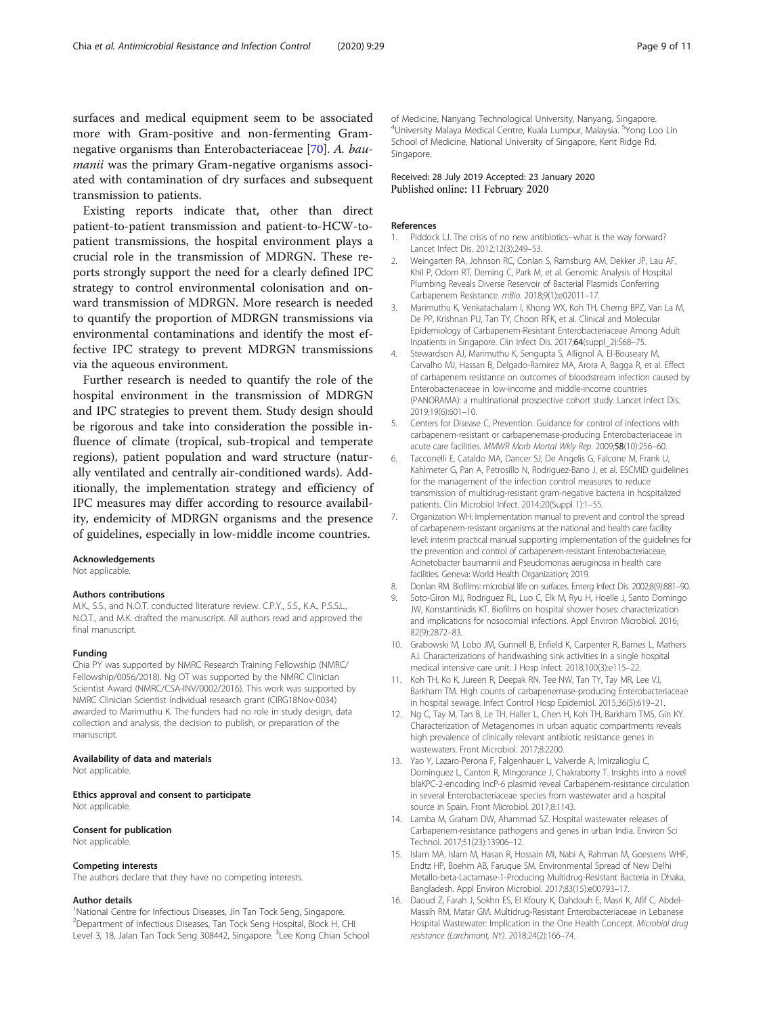<span id="page-8-0"></span>surfaces and medical equipment seem to be associated more with Gram-positive and non-fermenting Gramnegative organisms than Enterobacteriaceae [[70\]](#page-10-0). A. bau*manii* was the primary Gram-negative organisms associated with contamination of dry surfaces and subsequent transmission to patients.

Existing reports indicate that, other than direct patient-to-patient transmission and patient-to-HCW-topatient transmissions, the hospital environment plays a crucial role in the transmission of MDRGN. These reports strongly support the need for a clearly defined IPC strategy to control environmental colonisation and onward transmission of MDRGN. More research is needed to quantify the proportion of MDRGN transmissions via environmental contaminations and identify the most effective IPC strategy to prevent MDRGN transmissions via the aqueous environment.

Further research is needed to quantify the role of the hospital environment in the transmission of MDRGN and IPC strategies to prevent them. Study design should be rigorous and take into consideration the possible influence of climate (tropical, sub-tropical and temperate regions), patient population and ward structure (naturally ventilated and centrally air-conditioned wards). Additionally, the implementation strategy and efficiency of IPC measures may differ according to resource availability, endemicity of MDRGN organisms and the presence of guidelines, especially in low-middle income countries.

#### Acknowledgements

Not applicable.

#### Authors contributions

M.K., S.S., and N.O.T. conducted literature review. C.P.Y., S.S., K.A., P.S.S.L., N.O.T., and M.K. drafted the manuscript. All authors read and approved the final manuscript.

#### Funding

Chia PY was supported by NMRC Research Training Fellowship (NMRC/ Fellowship/0056/2018). Ng OT was supported by the NMRC Clinician Scientist Award (NMRC/CSA-INV/0002/2016). This work was supported by NMRC Clinician Scientist individual research grant (CIRG18Nov-0034) awarded to Marimuthu K. The funders had no role in study design, data collection and analysis, the decision to publish, or preparation of the manuscript.

## Availability of data and materials

Not applicable.

Ethics approval and consent to participate Not applicable.

#### Consent for publication Not applicable.

Competing interests

The authors declare that they have no competing interests.

#### Author details

<sup>1</sup>National Centre for Infectious Diseases, Jln Tan Tock Seng, Singapore. 2 Department of Infectious Diseases, Tan Tock Seng Hospital, Block H, CHI Level 3, 18, Jalan Tan Tock Seng 308442, Singapore. <sup>3</sup>Lee Kong Chian School of Medicine, Nanyang Technological University, Nanyang, Singapore. <sup>4</sup>University Malaya Medical Centre, Kuala Lumpur, Malaysia. <sup>5</sup>Yong Loo Lin School of Medicine, National University of Singapore, Kent Ridge Rd, Singapore.

## Received: 28 July 2019 Accepted: 23 January 2020 Published online: 11 February 2020

#### References

- 1. Piddock LJ. The crisis of no new antibiotics--what is the way forward? Lancet Infect Dis. 2012;12(3):249–53.
- 2. Weingarten RA, Johnson RC, Conlan S, Ramsburg AM, Dekker JP, Lau AF, Khil P, Odom RT, Deming C, Park M, et al. Genomic Analysis of Hospital Plumbing Reveals Diverse Reservoir of Bacterial Plasmids Conferring Carbapenem Resistance. mBio. 2018;9(1):e02011–17.
- 3. Marimuthu K, Venkatachalam I, Khong WX, Koh TH, Cherng BPZ, Van La M, De PP, Krishnan PU, Tan TY, Choon RFK, et al. Clinical and Molecular Epidemiology of Carbapenem-Resistant Enterobacteriaceae Among Adult Inpatients in Singapore. Clin Infect Dis. 2017;64(suppl\_2):S68–75.
- 4. Stewardson AJ, Marimuthu K, Sengupta S, Allignol A, El-Bouseary M, Carvalho MJ, Hassan B, Delgado-Ramirez MA, Arora A, Bagga R, et al. Effect of carbapenem resistance on outcomes of bloodstream infection caused by Enterobacteriaceae in low-income and middle-income countries (PANORAMA): a multinational prospective cohort study. Lancet Infect Dis. 2019;19(6):601–10.
- 5. Centers for Disease C, Prevention. Guidance for control of infections with carbapenem-resistant or carbapenemase-producing Enterobacteriaceae in acute care facilities. MMWR Morb Mortal Wkly Rep. 2009;58(10):256–60.
- 6. Tacconelli E, Cataldo MA, Dancer SJ, De Angelis G, Falcone M, Frank U, Kahlmeter G, Pan A, Petrosillo N, Rodriguez-Bano J, et al. ESCMID guidelines for the management of the infection control measures to reduce transmission of multidrug-resistant gram-negative bacteria in hospitalized patients. Clin Microbiol Infect. 2014;20(Suppl 1):1–55.
- 7. Organization WH: Implementation manual to prevent and control the spread of carbapenem-resistant organisms at the national and health care facility level: interim practical manual supporting implementation of the guidelines for the prevention and control of carbapenem-resistant Enterobacteriaceae, Acinetobacter baumannii and Pseudomonas aeruginosa in health care facilities. Geneva: World Health Organization; 2019.
- 8. Donlan RM. Biofilms: microbial life on surfaces. Emerg Infect Dis. 2002;8(9):881–90.
- 9. Soto-Giron MJ, Rodriguez RL, Luo C, Elk M, Ryu H, Hoelle J, Santo Domingo JW, Konstantinidis KT. Biofilms on hospital shower hoses: characterization and implications for nosocomial infections. Appl Environ Microbiol. 2016; 82(9):2872–83.
- 10. Grabowski M, Lobo JM, Gunnell B, Enfield K, Carpenter R, Barnes L, Mathers AJ. Characterizations of handwashing sink activities in a single hospital medical intensive care unit. J Hosp Infect. 2018;100(3):e115–22.
- 11. Koh TH, Ko K, Jureen R, Deepak RN, Tee NW, Tan TY, Tay MR, Lee VJ, Barkham TM. High counts of carbapenemase-producing Enterobacteriaceae in hospital sewage. Infect Control Hosp Epidemiol. 2015;36(5):619–21.
- 12. Ng C, Tay M, Tan B, Le TH, Haller L, Chen H, Koh TH, Barkham TMS, Gin KY. Characterization of Metagenomes in urban aquatic compartments reveals high prevalence of clinically relevant antibiotic resistance genes in wastewaters. Front Microbiol. 2017;8:2200.
- 13. Yao Y, Lazaro-Perona F, Falgenhauer L, Valverde A, Imirzalioglu C, Dominguez L, Canton R, Mingorance J, Chakraborty T. Insights into a novel blaKPC-2-encoding IncP-6 plasmid reveal Carbapenem-resistance circulation in several Enterobacteriaceae species from wastewater and a hospital source in Spain. Front Microbiol. 2017;8:1143.
- 14. Lamba M, Graham DW, Ahammad SZ. Hospital wastewater releases of Carbapenem-resistance pathogens and genes in urban India. Environ Sci Technol. 2017;51(23):13906–12.
- 15. Islam MA, Islam M, Hasan R, Hossain MI, Nabi A, Rahman M, Goessens WHF, Endtz HP, Boehm AB, Faruque SM. Environmental Spread of New Delhi Metallo-beta-Lactamase-1-Producing Multidrug-Resistant Bacteria in Dhaka, Bangladesh. Appl Environ Microbiol. 2017;83(15):e00793–17.
- 16. Daoud Z, Farah J, Sokhn ES, El Kfoury K, Dahdouh E, Masri K, Afif C, Abdel-Massih RM, Matar GM. Multidrug-Resistant Enterobacteriaceae in Lebanese Hospital Wastewater: Implication in the One Health Concept. Microbial drug resistance (Larchmont, NY). 2018;24(2):166–74.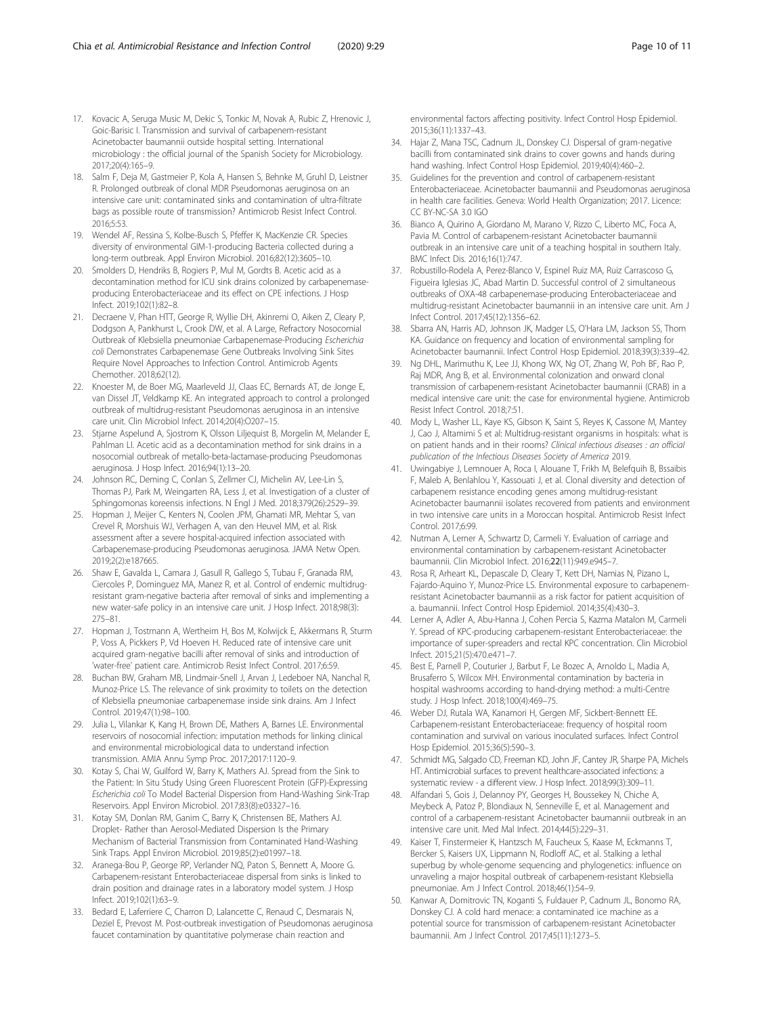- <span id="page-9-0"></span>18. Salm F, Deja M, Gastmeier P, Kola A, Hansen S, Behnke M, Gruhl D, Leistner R. Prolonged outbreak of clonal MDR Pseudomonas aeruginosa on an intensive care unit: contaminated sinks and contamination of ultra-filtrate bags as possible route of transmission? Antimicrob Resist Infect Control. 2016;5:53.
- 19. Wendel AF, Ressina S, Kolbe-Busch S, Pfeffer K, MacKenzie CR. Species diversity of environmental GIM-1-producing Bacteria collected during a long-term outbreak. Appl Environ Microbiol. 2016;82(12):3605–10.
- 20. Smolders D, Hendriks B, Rogiers P, Mul M, Gordts B. Acetic acid as a decontamination method for ICU sink drains colonized by carbapenemaseproducing Enterobacteriaceae and its effect on CPE infections. J Hosp Infect. 2019;102(1):82–8.
- 21. Decraene V, Phan HTT, George R, Wyllie DH, Akinremi O, Aiken Z, Cleary P, Dodgson A, Pankhurst L, Crook DW, et al. A Large, Refractory Nosocomial Outbreak of Klebsiella pneumoniae Carbapenemase-Producing Escherichia coli Demonstrates Carbapenemase Gene Outbreaks Involving Sink Sites Require Novel Approaches to Infection Control. Antimicrob Agents Chemother. 2018;62(12).
- 22. Knoester M, de Boer MG, Maarleveld JJ, Claas EC, Bernards AT, de Jonge E, van Dissel JT, Veldkamp KE. An integrated approach to control a prolonged outbreak of multidrug-resistant Pseudomonas aeruginosa in an intensive care unit. Clin Microbiol Infect. 2014;20(4):O207–15.
- 23. Stjarne Aspelund A, Sjostrom K, Olsson Liljequist B, Morgelin M, Melander E, Pahlman LI. Acetic acid as a decontamination method for sink drains in a nosocomial outbreak of metallo-beta-lactamase-producing Pseudomonas aeruginosa. J Hosp Infect. 2016;94(1):13–20.
- 24. Johnson RC, Deming C, Conlan S, Zellmer CJ, Michelin AV, Lee-Lin S, Thomas PJ, Park M, Weingarten RA, Less J, et al. Investigation of a cluster of Sphingomonas koreensis infections. N Engl J Med. 2018;379(26):2529–39.
- 25. Hopman J, Meijer C, Kenters N, Coolen JPM, Ghamati MR, Mehtar S, van Crevel R, Morshuis WJ, Verhagen A, van den Heuvel MM, et al. Risk assessment after a severe hospital-acquired infection associated with Carbapenemase-producing Pseudomonas aeruginosa. JAMA Netw Open. 2019;2(2):e187665.
- 26. Shaw E, Gavalda L, Camara J, Gasull R, Gallego S, Tubau F, Granada RM, Ciercoles P, Dominguez MA, Manez R, et al. Control of endemic multidrugresistant gram-negative bacteria after removal of sinks and implementing a new water-safe policy in an intensive care unit. J Hosp Infect. 2018;98(3): 275–81.
- 27. Hopman J, Tostmann A, Wertheim H, Bos M, Kolwijck E, Akkermans R, Sturm P, Voss A, Pickkers P, Vd Hoeven H. Reduced rate of intensive care unit acquired gram-negative bacilli after removal of sinks and introduction of 'water-free' patient care. Antimicrob Resist Infect Control. 2017;6:59.
- 28. Buchan BW, Graham MB, Lindmair-Snell J, Arvan J, Ledeboer NA, Nanchal R, Munoz-Price LS. The relevance of sink proximity to toilets on the detection of Klebsiella pneumoniae carbapenemase inside sink drains. Am J Infect Control. 2019;47(1):98–100.
- 29. Julia L, Vilankar K, Kang H, Brown DE, Mathers A, Barnes LE. Environmental reservoirs of nosocomial infection: imputation methods for linking clinical and environmental microbiological data to understand infection transmission. AMIA Annu Symp Proc. 2017;2017:1120–9.
- 30. Kotay S, Chai W, Guilford W, Barry K, Mathers AJ. Spread from the Sink to the Patient: In Situ Study Using Green Fluorescent Protein (GFP)-Expressing Escherichia coli To Model Bacterial Dispersion from Hand-Washing Sink-Trap Reservoirs. Appl Environ Microbiol. 2017;83(8):e03327–16.
- 31. Kotay SM, Donlan RM, Ganim C, Barry K, Christensen BE, Mathers AJ. Droplet- Rather than Aerosol-Mediated Dispersion Is the Primary Mechanism of Bacterial Transmission from Contaminated Hand-Washing Sink Traps. Appl Environ Microbiol. 2019;85(2):e01997–18.
- 32. Aranega-Bou P, George RP, Verlander NQ, Paton S, Bennett A, Moore G. Carbapenem-resistant Enterobacteriaceae dispersal from sinks is linked to drain position and drainage rates in a laboratory model system. J Hosp Infect. 2019;102(1):63–9.
- 33. Bedard E, Laferriere C, Charron D, Lalancette C, Renaud C, Desmarais N, Deziel E, Prevost M. Post-outbreak investigation of Pseudomonas aeruginosa faucet contamination by quantitative polymerase chain reaction and

environmental factors affecting positivity. Infect Control Hosp Epidemiol. 2015;36(11):1337–43.

- 34. Hajar Z, Mana TSC, Cadnum JL, Donskey CJ. Dispersal of gram-negative bacilli from contaminated sink drains to cover gowns and hands during hand washing. Infect Control Hosp Epidemiol. 2019;40(4):460–2.
- 35. Guidelines for the prevention and control of carbapenem-resistant Enterobacteriaceae. Acinetobacter baumannii and Pseudomonas aeruginosa in health care facilities. Geneva: World Health Organization; 2017. Licence: CC BY-NC-SA 3.0 IGO
- 36. Bianco A, Quirino A, Giordano M, Marano V, Rizzo C, Liberto MC, Foca A, Pavia M. Control of carbapenem-resistant Acinetobacter baumannii outbreak in an intensive care unit of a teaching hospital in southern Italy. BMC Infect Dis. 2016;16(1):747.
- 37. Robustillo-Rodela A, Perez-Blanco V, Espinel Ruiz MA, Ruiz Carrascoso G, Figueira Iglesias JC, Abad Martin D. Successful control of 2 simultaneous outbreaks of OXA-48 carbapenemase-producing Enterobacteriaceae and multidrug-resistant Acinetobacter baumannii in an intensive care unit. Am J Infect Control. 2017;45(12):1356–62.
- 38. Sbarra AN, Harris AD, Johnson JK, Madger LS, O'Hara LM, Jackson SS, Thom KA. Guidance on frequency and location of environmental sampling for Acinetobacter baumannii. Infect Control Hosp Epidemiol. 2018;39(3):339–42.
- 39. Ng DHL, Marimuthu K, Lee JJ, Khong WX, Ng OT, Zhang W, Poh BF, Rao P, Raj MDR, Ang B, et al. Environmental colonization and onward clonal transmission of carbapenem-resistant Acinetobacter baumannii (CRAB) in a medical intensive care unit: the case for environmental hygiene. Antimicrob Resist Infect Control. 2018;7:51.
- 40. Mody L, Washer LL, Kaye KS, Gibson K, Saint S, Reyes K, Cassone M, Mantey J, Cao J, Altamimi S et al: Multidrug-resistant organisms in hospitals: what is on patient hands and in their rooms? Clinical infectious diseases : an official publication of the Infectious Diseases Society of America 2019.
- 41. Uwingabiye J, Lemnouer A, Roca I, Alouane T, Frikh M, Belefquih B, Bssaibis F, Maleb A, Benlahlou Y, Kassouati J, et al. Clonal diversity and detection of carbapenem resistance encoding genes among multidrug-resistant Acinetobacter baumannii isolates recovered from patients and environment in two intensive care units in a Moroccan hospital. Antimicrob Resist Infect Control. 2017;6:99.
- 42. Nutman A, Lerner A, Schwartz D, Carmeli Y. Evaluation of carriage and environmental contamination by carbapenem-resistant Acinetobacter baumannii. Clin Microbiol Infect. 2016;22(11):949.e945–7.
- 43. Rosa R, Arheart KL, Depascale D, Cleary T, Kett DH, Namias N, Pizano L, Fajardo-Aquino Y, Munoz-Price LS. Environmental exposure to carbapenemresistant Acinetobacter baumannii as a risk factor for patient acquisition of a. baumannii. Infect Control Hosp Epidemiol. 2014;35(4):430–3.
- 44. Lerner A, Adler A, Abu-Hanna J, Cohen Percia S, Kazma Matalon M, Carmeli Y. Spread of KPC-producing carbapenem-resistant Enterobacteriaceae: the importance of super-spreaders and rectal KPC concentration. Clin Microbiol Infect. 2015;21(5):470.e471–7.
- 45. Best E, Parnell P, Couturier J, Barbut F, Le Bozec A, Arnoldo L, Madia A, Brusaferro S, Wilcox MH. Environmental contamination by bacteria in hospital washrooms according to hand-drying method: a multi-Centre study. J Hosp Infect. 2018;100(4):469–75.
- 46. Weber DJ, Rutala WA, Kanamori H, Gergen MF, Sickbert-Bennett EE. Carbapenem-resistant Enterobacteriaceae: frequency of hospital room contamination and survival on various inoculated surfaces. Infect Control Hosp Epidemiol. 2015;36(5):590–3.
- 47. Schmidt MG, Salgado CD, Freeman KD, John JF, Cantey JR, Sharpe PA, Michels HT. Antimicrobial surfaces to prevent healthcare-associated infections: a systematic review - a different view. J Hosp Infect. 2018;99(3):309–11.
- 48. Alfandari S, Gois J, Delannoy PY, Georges H, Boussekey N, Chiche A, Meybeck A, Patoz P, Blondiaux N, Senneville E, et al. Management and control of a carbapenem-resistant Acinetobacter baumannii outbreak in an intensive care unit. Med Mal Infect. 2014;44(5):229–31.
- 49. Kaiser T, Finstermeier K, Hantzsch M, Faucheux S, Kaase M, Eckmanns T, Bercker S, Kaisers UX, Lippmann N, Rodloff AC, et al. Stalking a lethal superbug by whole-genome sequencing and phylogenetics: influence on unraveling a major hospital outbreak of carbapenem-resistant Klebsiella pneumoniae. Am J Infect Control. 2018;46(1):54–9.
- 50. Kanwar A, Domitrovic TN, Koganti S, Fuldauer P, Cadnum JL, Bonomo RA, Donskey CJ. A cold hard menace: a contaminated ice machine as a potential source for transmission of carbapenem-resistant Acinetobacter baumannii. Am J Infect Control. 2017;45(11):1273–5.